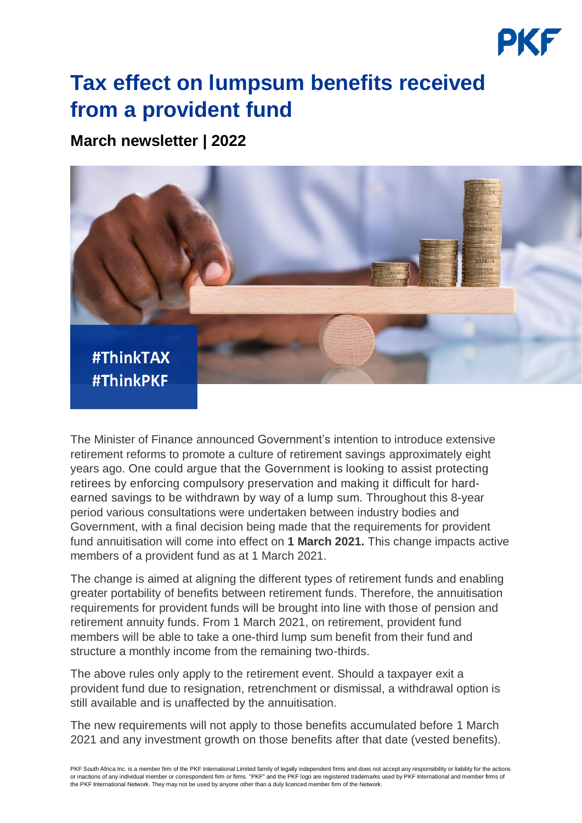## **Tax effect on lumpsum benefits received from a provident fund**

**March newsletter | 2022**



The Minister of Finance announced Government's intention to introduce extensive retirement reforms to promote a culture of retirement savings approximately eight years ago. One could argue that the Government is looking to assist protecting retirees by enforcing compulsory preservation and making it difficult for hardearned savings to be withdrawn by way of a lump sum. Throughout this 8-year period various consultations were undertaken between industry bodies and Government, with a final decision being made that the requirements for provident fund annuitisation will come into effect on **1 March 2021.** This change impacts active members of a provident fund as at 1 March 2021.

The change is aimed at aligning the different types of retirement funds and enabling greater portability of benefits between retirement funds. Therefore, the annuitisation requirements for provident funds will be brought into line with those of pension and retirement annuity funds. From 1 March 2021, on retirement, provident fund members will be able to take a one-third lump sum benefit from their fund and structure a monthly income from the remaining two-thirds.

The above rules only apply to the retirement event. Should a taxpayer exit a provident fund due to resignation, retrenchment or dismissal, a withdrawal option is still available and is unaffected by the annuitisation.

The new requirements will not apply to those benefits accumulated before 1 March 2021 and any investment growth on those benefits after that date (vested benefits).